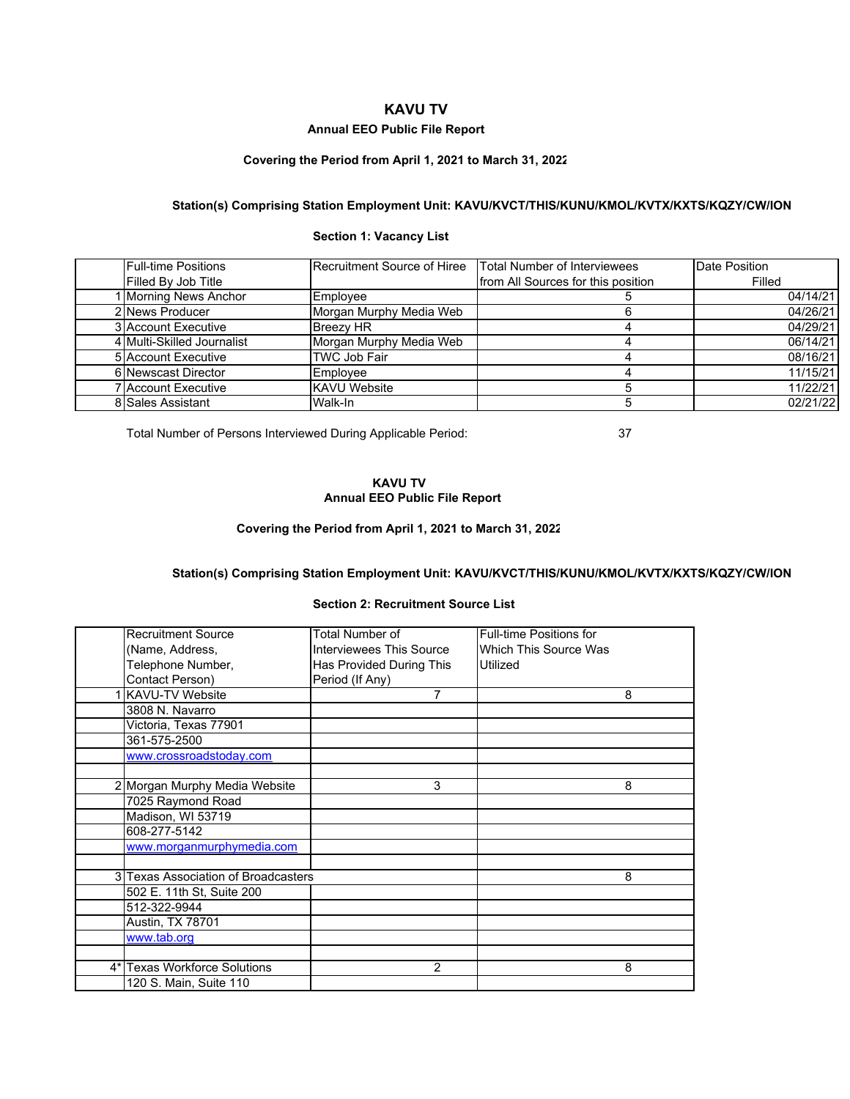# **KAVU TV**

## **Annual EEO Public File Report**

# **Covering the Period from April 1, 2021 to March 31, 2022**

# **Station(s) Comprising Station Employment Unit: KAVU/KVCT/THIS/KUNU/KMOL/KVTX/KXTS/KQZY/CW/ION**

## **Section 1: Vacancy List**

| <b>Full-time Positions</b> | Recruitment Source of Hiree | Total Number of Interviewees       | Date Position |
|----------------------------|-----------------------------|------------------------------------|---------------|
| Filled By Job Title        |                             | from All Sources for this position | Filled        |
| 1 Morning News Anchor      | Emplovee                    |                                    | 04/14/21      |
| 2 News Producer            | Morgan Murphy Media Web     |                                    | 04/26/21      |
| <b>3</b> Account Executive | <b>Breezv HR</b>            |                                    | 04/29/21      |
| 4 Multi-Skilled Journalist | Morgan Murphy Media Web     |                                    | 06/14/21      |
| 5 Account Executive        | <b>TWC Job Fair</b>         |                                    | 08/16/21      |
| 6 Newscast Director        | Employee                    |                                    | 11/15/21      |
| 7 Account Executive        | <b>KAVU</b> Website         |                                    | 11/22/21      |
| 8 Sales Assistant          | Walk-In                     |                                    | 02/21/22      |

Total Number of Persons Interviewed During Applicable Period: 37

## **KAVU TV Annual EEO Public File Report**

#### **Covering the Period from April 1, 2021 to March 31, 2022**

# **Station(s) Comprising Station Employment Unit: KAVU/KVCT/THIS/KUNU/KMOL/KVTX/KXTS/KQZY/CW/ION**

#### **Section 2: Recruitment Source List**

| <b>Recruitment Source</b>           | Total Number of                 | <b>Full-time Positions for</b> |
|-------------------------------------|---------------------------------|--------------------------------|
| (Name, Address,                     | <b>Interviewees This Source</b> | Which This Source Was          |
| Telephone Number,                   | Has Provided During This        | Utilized                       |
| Contact Person)                     | Period (If Any)                 |                                |
| <b>KAVU-TV Website</b>              | 7                               | 8                              |
| 3808 N. Navarro                     |                                 |                                |
| Victoria, Texas 77901               |                                 |                                |
| 361-575-2500                        |                                 |                                |
| www.crossroadstoday.com             |                                 |                                |
|                                     |                                 |                                |
| 2 Morgan Murphy Media Website       | 3                               | 8                              |
| 7025 Raymond Road                   |                                 |                                |
| Madison, WI 53719                   |                                 |                                |
| 608-277-5142                        |                                 |                                |
| www.morganmurphymedia.com           |                                 |                                |
|                                     |                                 |                                |
| 3 Texas Association of Broadcasters |                                 | 8                              |
| 502 E. 11th St, Suite 200           |                                 |                                |
| 512-322-9944                        |                                 |                                |
| Austin, TX 78701                    |                                 |                                |
| www.tab.org                         |                                 |                                |
|                                     |                                 |                                |
| 4* Texas Workforce Solutions        | $\overline{2}$                  | 8                              |
| 120 S. Main, Suite 110              |                                 |                                |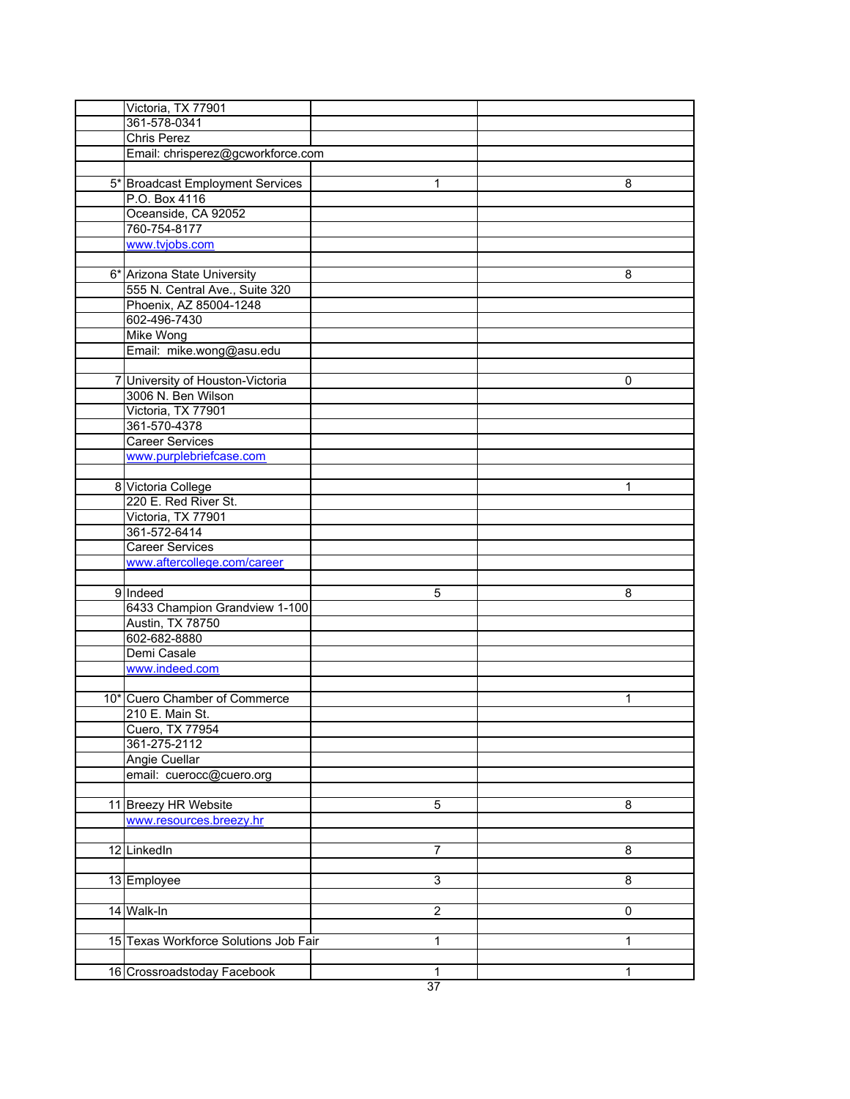| Victoria, TX 77901<br>361-578-0341<br><b>Chris Perez</b><br>Email: chrisperez@gcworkforce.com<br>5* Broadcast Employment Services<br>1<br>8<br>P.O. Box 4116<br>Oceanside, CA 92052<br>760-754-8177<br>www.tvjobs.com<br>6* Arizona State University<br>8<br>555 N. Central Ave., Suite 320<br>Phoenix, AZ 85004-1248<br>602-496-7430<br><b>Mike Wong</b> |  |
|-----------------------------------------------------------------------------------------------------------------------------------------------------------------------------------------------------------------------------------------------------------------------------------------------------------------------------------------------------------|--|
|                                                                                                                                                                                                                                                                                                                                                           |  |
|                                                                                                                                                                                                                                                                                                                                                           |  |
|                                                                                                                                                                                                                                                                                                                                                           |  |
|                                                                                                                                                                                                                                                                                                                                                           |  |
|                                                                                                                                                                                                                                                                                                                                                           |  |
|                                                                                                                                                                                                                                                                                                                                                           |  |
|                                                                                                                                                                                                                                                                                                                                                           |  |
|                                                                                                                                                                                                                                                                                                                                                           |  |
|                                                                                                                                                                                                                                                                                                                                                           |  |
|                                                                                                                                                                                                                                                                                                                                                           |  |
|                                                                                                                                                                                                                                                                                                                                                           |  |
|                                                                                                                                                                                                                                                                                                                                                           |  |
|                                                                                                                                                                                                                                                                                                                                                           |  |
|                                                                                                                                                                                                                                                                                                                                                           |  |
|                                                                                                                                                                                                                                                                                                                                                           |  |
|                                                                                                                                                                                                                                                                                                                                                           |  |
| Email: mike.wong@asu.edu                                                                                                                                                                                                                                                                                                                                  |  |
|                                                                                                                                                                                                                                                                                                                                                           |  |
| 7 University of Houston-Victoria<br>0                                                                                                                                                                                                                                                                                                                     |  |
| 3006 N. Ben Wilson                                                                                                                                                                                                                                                                                                                                        |  |
| Victoria, TX 77901                                                                                                                                                                                                                                                                                                                                        |  |
| 361-570-4378                                                                                                                                                                                                                                                                                                                                              |  |
| <b>Career Services</b>                                                                                                                                                                                                                                                                                                                                    |  |
| www.purplebriefcase.com                                                                                                                                                                                                                                                                                                                                   |  |
|                                                                                                                                                                                                                                                                                                                                                           |  |
| 8 Victoria College<br>1                                                                                                                                                                                                                                                                                                                                   |  |
| 220 E. Red River St.                                                                                                                                                                                                                                                                                                                                      |  |
| Victoria, TX 77901                                                                                                                                                                                                                                                                                                                                        |  |
| 361-572-6414                                                                                                                                                                                                                                                                                                                                              |  |
| <b>Career Services</b>                                                                                                                                                                                                                                                                                                                                    |  |
| www.aftercollege.com/career                                                                                                                                                                                                                                                                                                                               |  |
|                                                                                                                                                                                                                                                                                                                                                           |  |
| 9 Indeed<br>5<br>8                                                                                                                                                                                                                                                                                                                                        |  |
|                                                                                                                                                                                                                                                                                                                                                           |  |
| 6433 Champion Grandview 1-100                                                                                                                                                                                                                                                                                                                             |  |
| Austin, TX 78750                                                                                                                                                                                                                                                                                                                                          |  |
| 602-682-8880                                                                                                                                                                                                                                                                                                                                              |  |
| Demi Casale                                                                                                                                                                                                                                                                                                                                               |  |
| www.indeed.com                                                                                                                                                                                                                                                                                                                                            |  |
|                                                                                                                                                                                                                                                                                                                                                           |  |
| 10* Cuero Chamber of Commerce<br>1                                                                                                                                                                                                                                                                                                                        |  |
| 210 E. Main St.                                                                                                                                                                                                                                                                                                                                           |  |
| Cuero, TX 77954                                                                                                                                                                                                                                                                                                                                           |  |
| 361-275-2112                                                                                                                                                                                                                                                                                                                                              |  |
| <b>Angie Cuellar</b>                                                                                                                                                                                                                                                                                                                                      |  |
| email: cuerocc@cuero.org                                                                                                                                                                                                                                                                                                                                  |  |
|                                                                                                                                                                                                                                                                                                                                                           |  |
| 11 Breezy HR Website<br>5<br>8                                                                                                                                                                                                                                                                                                                            |  |
| www.resources.breezy.hr                                                                                                                                                                                                                                                                                                                                   |  |
|                                                                                                                                                                                                                                                                                                                                                           |  |
| 12 LinkedIn<br>8<br>7                                                                                                                                                                                                                                                                                                                                     |  |
|                                                                                                                                                                                                                                                                                                                                                           |  |
| $\overline{3}$<br>8<br>13 Employee                                                                                                                                                                                                                                                                                                                        |  |
|                                                                                                                                                                                                                                                                                                                                                           |  |
| 14 Walk-In<br>$\overline{2}$<br>0                                                                                                                                                                                                                                                                                                                         |  |
|                                                                                                                                                                                                                                                                                                                                                           |  |
| 15 Texas Workforce Solutions Job Fair<br>$\mathbf{1}$<br>$\mathbf{1}$                                                                                                                                                                                                                                                                                     |  |
|                                                                                                                                                                                                                                                                                                                                                           |  |
| 16 Crossroadstoday Facebook<br>$\mathbf{1}$<br>1                                                                                                                                                                                                                                                                                                          |  |
| $\overline{37}$                                                                                                                                                                                                                                                                                                                                           |  |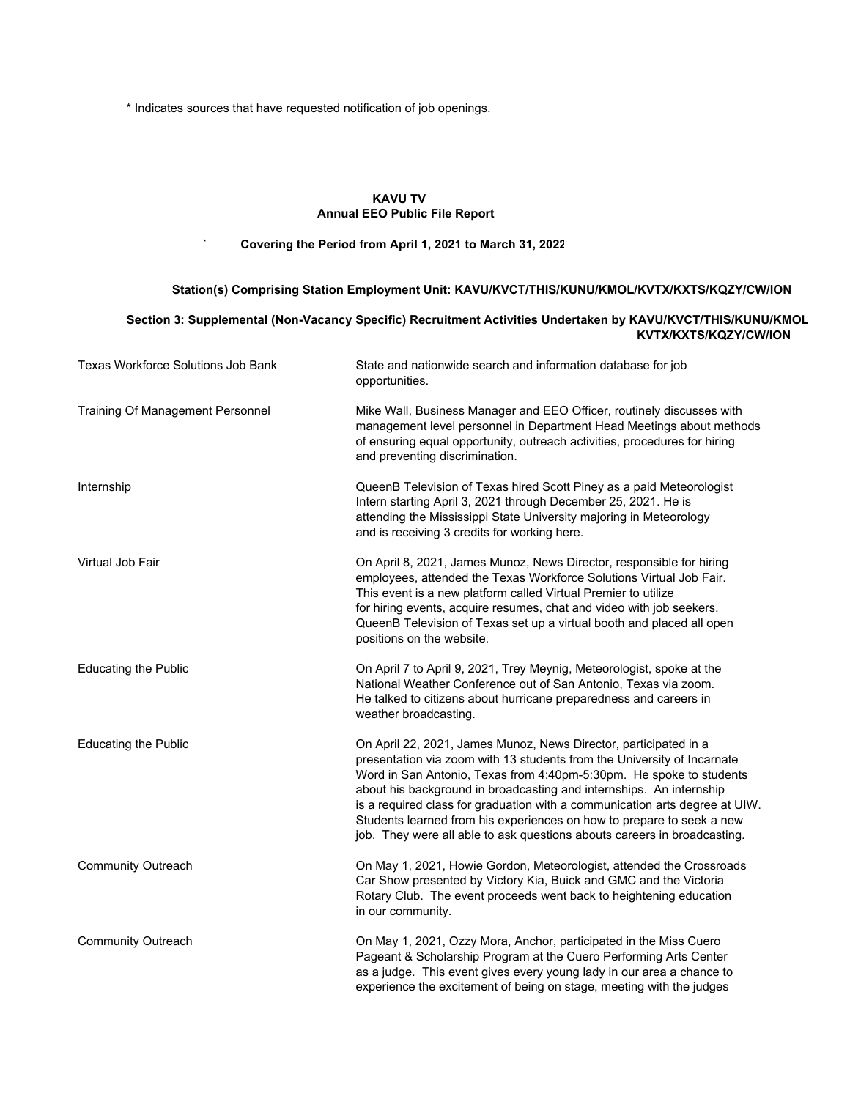\* Indicates sources that have requested notification of job openings.

## **KAVU TV Annual EEO Public File Report**

#### **` Covering the Period from April 1, 2021 to March 31, 2022**

# **Section 3: Supplemental (Non-Vacancy Specific) Recruitment Activities Undertaken by KAVU/KVCT/THIS/KUNU/KMOL KVTX/KXTS/KQZY/CW/ION** Texas Workforce Solutions Job Bank State and nationwide search and information database for job opportunities. Training Of Management Personnel Mike Wall, Business Manager and EEO Officer, routinely discusses with management level personnel in Department Head Meetings about methods of ensuring equal opportunity, outreach activities, procedures for hiring and preventing discrimination. Internship QueenB Television of Texas hired Scott Piney as a paid Meteorologist Intern starting April 3, 2021 through December 25, 2021. He is attending the Mississippi State University majoring in Meteorology and is receiving 3 credits for working here. Virtual Job Fair **New April 8, 2021, James Munoz, News Director, responsible for hiring** employees, attended the Texas Workforce Solutions Virtual Job Fair. This event is a new platform called Virtual Premier to utilize for hiring events, acquire resumes, chat and video with job seekers. QueenB Television of Texas set up a virtual booth and placed all open positions on the website. Educating the Public On April 7 to April 9, 2021, Trey Meynig, Meteorologist, spoke at the National Weather Conference out of San Antonio, Texas via zoom. He talked to citizens about hurricane preparedness and careers in weather broadcasting. Educating the Public On April 22, 2021, James Munoz, News Director, participated in a presentation via zoom with 13 students from the University of Incarnate Word in San Antonio, Texas from 4:40pm-5:30pm. He spoke to students about his background in broadcasting and internships. An internship is a required class for graduation with a communication arts degree at UIW. Students learned from his experiences on how to prepare to seek a new job. They were all able to ask questions abouts careers in broadcasting. Community Outreach On May 1, 2021, Howie Gordon, Meteorologist, attended the Crossroads Car Show presented by Victory Kia, Buick and GMC and the Victoria Rotary Club. The event proceeds went back to heightening education in our community. Community Outreach On May 1, 2021, Ozzy Mora, Anchor, participated in the Miss Cuero Pageant & Scholarship Program at the Cuero Performing Arts Center as a judge. This event gives every young lady in our area a chance to experience the excitement of being on stage, meeting with the judges **Station(s) Comprising Station Employment Unit: KAVU/KVCT/THIS/KUNU/KMOL/KVTX/KXTS/KQZY/CW/ION**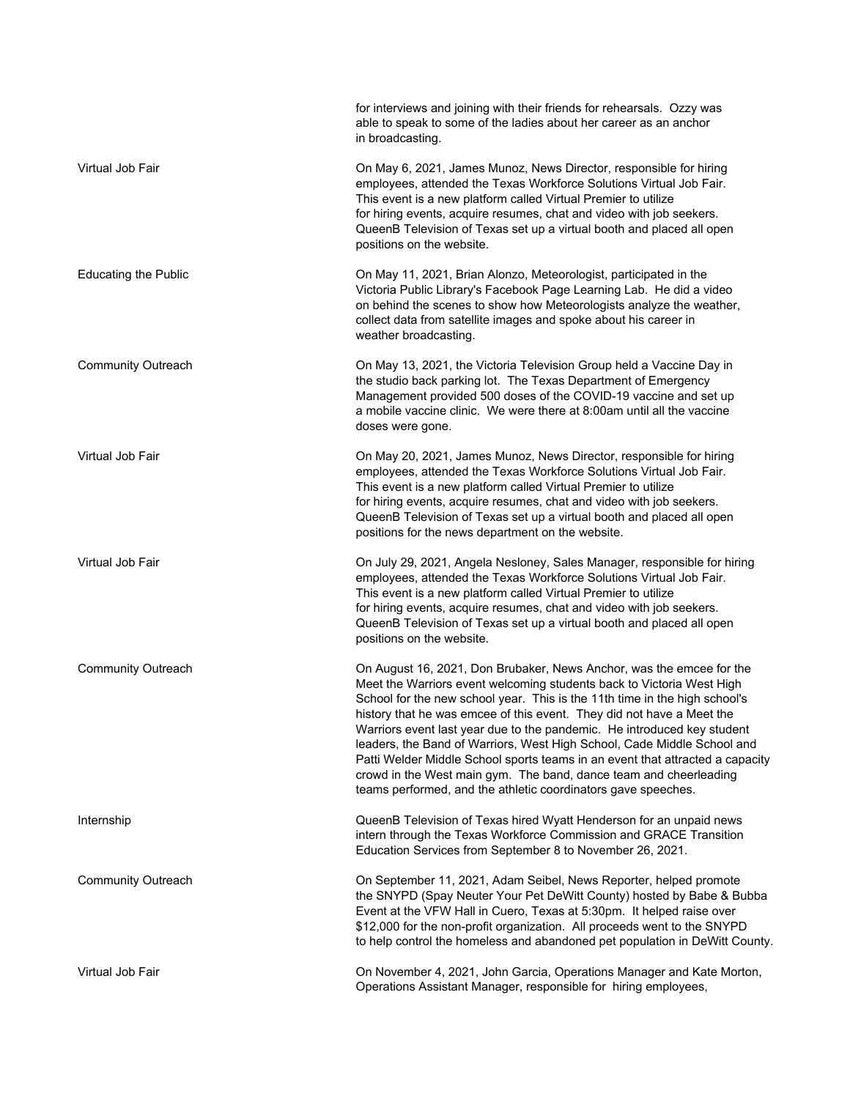|                             | for interviews and joining with their friends for rehearsals. Ozzy was<br>able to speak to some of the ladies about her career as an anchor<br>in broadcasting.                                                                                                                                                                                                                                                                                                                                                                                                                                                                                                                   |
|-----------------------------|-----------------------------------------------------------------------------------------------------------------------------------------------------------------------------------------------------------------------------------------------------------------------------------------------------------------------------------------------------------------------------------------------------------------------------------------------------------------------------------------------------------------------------------------------------------------------------------------------------------------------------------------------------------------------------------|
| Virtual Job Fair            | On May 6, 2021, James Munoz, News Director, responsible for hiring<br>employees, attended the Texas Workforce Solutions Virtual Job Fair.<br>This event is a new platform called Virtual Premier to utilize<br>for hiring events, acquire resumes, chat and video with job seekers.<br>QueenB Television of Texas set up a virtual booth and placed all open<br>positions on the website.                                                                                                                                                                                                                                                                                         |
| <b>Educating the Public</b> | On May 11, 2021, Brian Alonzo, Meteorologist, participated in the<br>Victoria Public Library's Facebook Page Learning Lab. He did a video<br>on behind the scenes to show how Meteorologists analyze the weather,<br>collect data from satellite images and spoke about his career in<br>weather broadcasting.                                                                                                                                                                                                                                                                                                                                                                    |
| <b>Community Outreach</b>   | On May 13, 2021, the Victoria Television Group held a Vaccine Day in<br>the studio back parking lot. The Texas Department of Emergency<br>Management provided 500 doses of the COVID-19 vaccine and set up<br>a mobile vaccine clinic. We were there at 8:00am until all the vaccine<br>doses were gone.                                                                                                                                                                                                                                                                                                                                                                          |
| Virtual Job Fair            | On May 20, 2021, James Munoz, News Director, responsible for hiring<br>employees, attended the Texas Workforce Solutions Virtual Job Fair.<br>This event is a new platform called Virtual Premier to utilize<br>for hiring events, acquire resumes, chat and video with job seekers.<br>QueenB Television of Texas set up a virtual booth and placed all open<br>positions for the news department on the website.                                                                                                                                                                                                                                                                |
| Virtual Job Fair            | On July 29, 2021, Angela Nesloney, Sales Manager, responsible for hiring<br>employees, attended the Texas Workforce Solutions Virtual Job Fair.<br>This event is a new platform called Virtual Premier to utilize<br>for hiring events, acquire resumes, chat and video with job seekers.<br>QueenB Television of Texas set up a virtual booth and placed all open<br>positions on the website.                                                                                                                                                                                                                                                                                   |
| <b>Community Outreach</b>   | On August 16, 2021, Don Brubaker, News Anchor, was the emcee for the<br>Meet the Warriors event welcoming students back to Victoria West High<br>School for the new school year. This is the 11th time in the high school's<br>history that he was emcee of this event. They did not have a Meet the<br>Warriors event last year due to the pandemic. He introduced key student<br>leaders, the Band of Warriors, West High School, Cade Middle School and<br>Patti Welder Middle School sports teams in an event that attracted a capacity<br>crowd in the West main gym. The band, dance team and cheerleading<br>teams performed, and the athletic coordinators gave speeches. |
| Internship                  | QueenB Television of Texas hired Wyatt Henderson for an unpaid news<br>intern through the Texas Workforce Commission and GRACE Transition<br>Education Services from September 8 to November 26, 2021.                                                                                                                                                                                                                                                                                                                                                                                                                                                                            |
| <b>Community Outreach</b>   | On September 11, 2021, Adam Seibel, News Reporter, helped promote<br>the SNYPD (Spay Neuter Your Pet DeWitt County) hosted by Babe & Bubba<br>Event at the VFW Hall in Cuero, Texas at 5:30pm. It helped raise over<br>\$12,000 for the non-profit organization. All proceeds went to the SNYPD<br>to help control the homeless and abandoned pet population in DeWitt County.                                                                                                                                                                                                                                                                                                    |
| Virtual Job Fair            | On November 4, 2021, John Garcia, Operations Manager and Kate Morton,<br>Operations Assistant Manager, responsible for hiring employees,                                                                                                                                                                                                                                                                                                                                                                                                                                                                                                                                          |